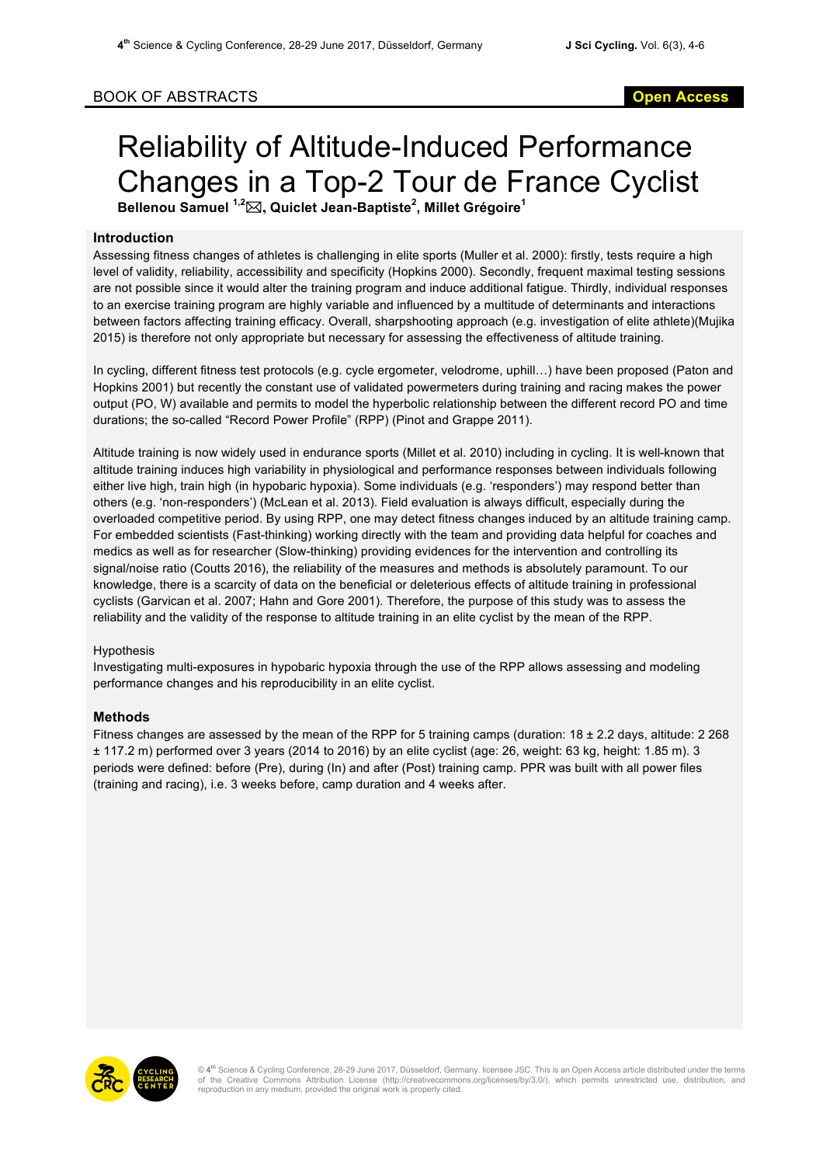## BOOK OF ABSTRACTS **Open Access**

# Reliability of Altitude-Induced Performance Changes in a Top-2 Tour de France Cyclist **Bellenou Samuel 1,2** \***, Quiclet Jean-Baptiste<sup>2</sup> , Millet Grégoire<sup>1</sup>**

#### **Introduction**

Assessing fitness changes of athletes is challenging in elite sports (Muller et al. 2000): firstly, tests require a high level of validity, reliability, accessibility and specificity (Hopkins 2000). Secondly, frequent maximal testing sessions are not possible since it would alter the training program and induce additional fatigue. Thirdly, individual responses to an exercise training program are highly variable and influenced by a multitude of determinants and interactions between factors affecting training efficacy. Overall, sharpshooting approach (e.g. investigation of elite athlete)(Mujika 2015) is therefore not only appropriate but necessary for assessing the effectiveness of altitude training.

In cycling, different fitness test protocols (e.g. cycle ergometer, velodrome, uphill…) have been proposed (Paton and Hopkins 2001) but recently the constant use of validated powermeters during training and racing makes the power output (PO, W) available and permits to model the hyperbolic relationship between the different record PO and time durations; the so-called "Record Power Profile" (RPP) (Pinot and Grappe 2011).

Altitude training is now widely used in endurance sports (Millet et al. 2010) including in cycling. It is well-known that altitude training induces high variability in physiological and performance responses between individuals following either live high, train high (in hypobaric hypoxia). Some individuals (e.g. 'responders') may respond better than others (e.g. 'non-responders') (McLean et al. 2013). Field evaluation is always difficult, especially during the overloaded competitive period. By using RPP, one may detect fitness changes induced by an altitude training camp. For embedded scientists (Fast-thinking) working directly with the team and providing data helpful for coaches and medics as well as for researcher (Slow-thinking) providing evidences for the intervention and controlling its signal/noise ratio (Coutts 2016), the reliability of the measures and methods is absolutely paramount. To our knowledge, there is a scarcity of data on the beneficial or deleterious effects of altitude training in professional cyclists (Garvican et al. 2007; Hahn and Gore 2001). Therefore, the purpose of this study was to assess the reliability and the validity of the response to altitude training in an elite cyclist by the mean of the RPP.

#### Hypothesis

Investigating multi-exposures in hypobaric hypoxia through the use of the RPP allows assessing and modeling performance changes and his reproducibility in an elite cyclist.

### **Methods**

Fitness changes are assessed by the mean of the RPP for 5 training camps (duration: 18 ± 2.2 days, altitude: 2 268 ± 117.2 m) performed over 3 years (2014 to 2016) by an elite cyclist (age: 26, weight: 63 kg, height: 1.85 m). 3 periods were defined: before (Pre), during (In) and after (Post) training camp. PPR was built with all power files (training and racing), i.e. 3 weeks before, camp duration and 4 weeks after.



© **4th** Science & Cycling Conference, 28-29 June 2017, Düsseldorf, Germany. licensee JSC. This is an Open Access article distributed under the terms of the Creative Commons Attribution License (http://creativecommons.org/licenses/by/3.0/), which permits unrestricted use, distribution, and reproduction in any medium, provided the original work is properly cited.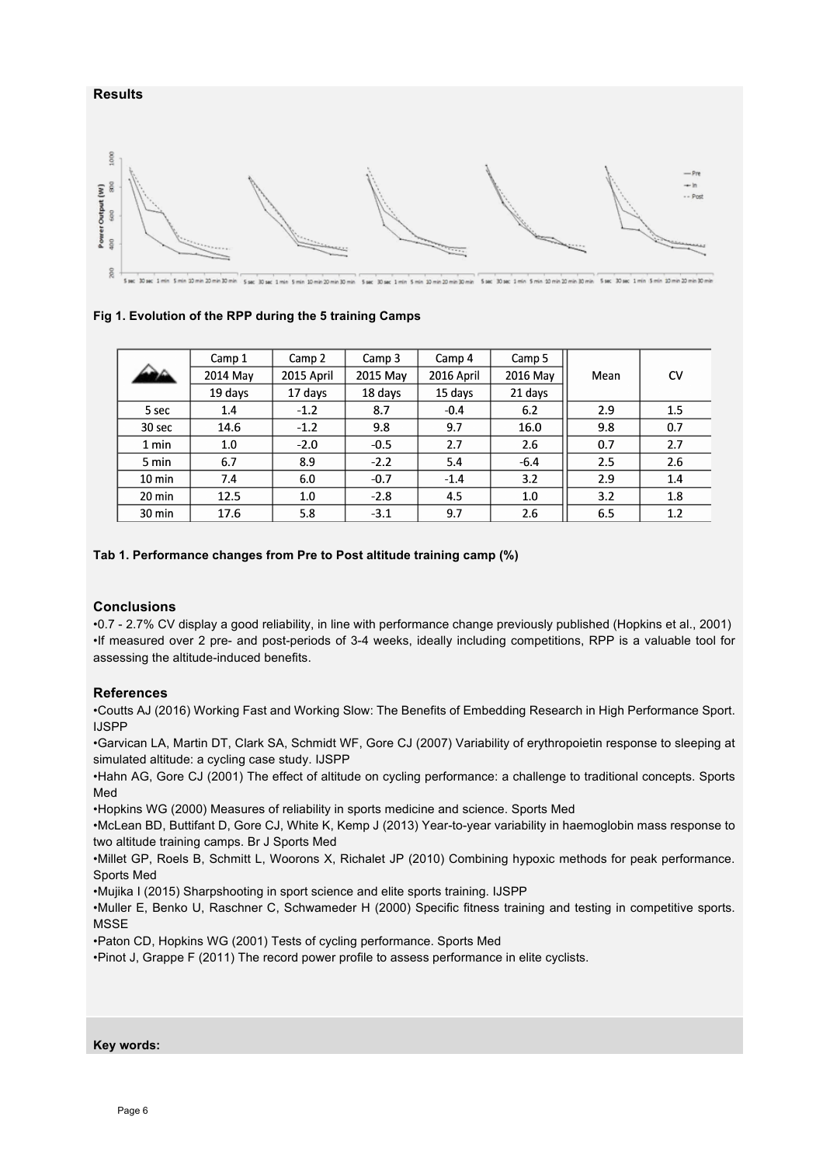

### **Fig 1. Evolution of the RPP during the 5 training Camps**

|                  | Camp 1   | Camp 2     | Camp 3   | Camp 4     | Camp 5   |      |     |
|------------------|----------|------------|----------|------------|----------|------|-----|
|                  | 2014 May | 2015 April | 2015 May | 2016 April | 2016 May | Mean | CV  |
|                  | 19 days  | 17 days    | 18 days  | 15 days    | 21 days  |      |     |
| 5 sec            | 1.4      | $-1.2$     | 8.7      | $-0.4$     | 6.2      | 2.9  | 1.5 |
| 30 sec           | 14.6     | $-1.2$     | 9.8      | 9.7        | 16.0     | 9.8  | 0.7 |
| 1 min            | 1.0      | $-2.0$     | $-0.5$   | 2.7        | 2.6      | 0.7  | 2.7 |
| 5 min            | 6.7      | 8.9        | $-2.2$   | 5.4        | $-6.4$   | 2.5  | 2.6 |
| $10 \text{ min}$ | 7.4      | 6.0        | $-0.7$   | $-1.4$     | 3.2      | 2.9  | 1.4 |
| $20 \text{ min}$ | 12.5     | 1.0        | $-2.8$   | 4.5        | 1.0      | 3.2  | 1.8 |
| $30 \text{ min}$ | 17.6     | 5.8        | $-3.1$   | 9.7        | 2.6      | 6.5  | 1.2 |

### **Tab 1. Performance changes from Pre to Post altitude training camp (%)**

### **Conclusions**

•0.7 - 2.7% CV display a good reliability, in line with performance change previously published (Hopkins et al., 2001) •If measured over 2 pre- and post-periods of 3-4 weeks, ideally including competitions, RPP is a valuable tool for assessing the altitude-induced benefits.

### **References**

•Coutts AJ (2016) Working Fast and Working Slow: The Benefits of Embedding Research in High Performance Sport. IJSPP

•Garvican LA, Martin DT, Clark SA, Schmidt WF, Gore CJ (2007) Variability of erythropoietin response to sleeping at simulated altitude: a cycling case study. IJSPP

•Hahn AG, Gore CJ (2001) The effect of altitude on cycling performance: a challenge to traditional concepts. Sports Med

•Hopkins WG (2000) Measures of reliability in sports medicine and science. Sports Med

•McLean BD, Buttifant D, Gore CJ, White K, Kemp J (2013) Year-to-year variability in haemoglobin mass response to two altitude training camps. Br J Sports Med

•Millet GP, Roels B, Schmitt L, Woorons X, Richalet JP (2010) Combining hypoxic methods for peak performance. Sports Med

•Mujika I (2015) Sharpshooting in sport science and elite sports training. IJSPP

•Muller E, Benko U, Raschner C, Schwameder H (2000) Specific fitness training and testing in competitive sports. **MSSE** 

•Paton CD, Hopkins WG (2001) Tests of cycling performance. Sports Med

•Pinot J, Grappe F (2011) The record power profile to assess performance in elite cyclists.

**Key words:**